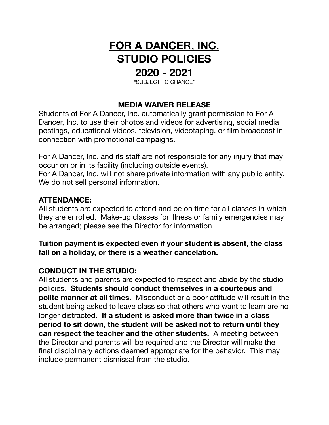# **FOR A DANCER, INC. STUDIO POLICIES**

## **2020 - 2021**

\*SUBJECT TO CHANGE\*

## **MEDIA WAIVER RELEASE**

Students of For A Dancer, Inc. automatically grant permission to For A Dancer, Inc. to use their photos and videos for advertising, social media postings, educational videos, television, videotaping, or film broadcast in connection with promotional campaigns.

For A Dancer, Inc. and its staff are not responsible for any injury that may occur on or in its facility (including outside events).

For A Dancer, Inc. will not share private information with any public entity. We do not sell personal information.

## **ATTENDANCE:**

All students are expected to attend and be on time for all classes in which they are enrolled. Make-up classes for illness or family emergencies may be arranged; please see the Director for information.

## **Tuition payment is expected even if your student is absent, the class fall on a holiday, or there is a weather cancelation.**

## **CONDUCT IN THE STUDIO:**

All students and parents are expected to respect and abide by the studio policies. **Students should conduct themselves in a courteous and polite manner at all times.** Misconduct or a poor attitude will result in the student being asked to leave class so that others who want to learn are no longer distracted. **If a student is asked more than twice in a class period to sit down, the student will be asked not to return until they can respect the teacher and the other students.** A meeting between the Director and parents will be required and the Director will make the final disciplinary actions deemed appropriate for the behavior. This may include permanent dismissal from the studio.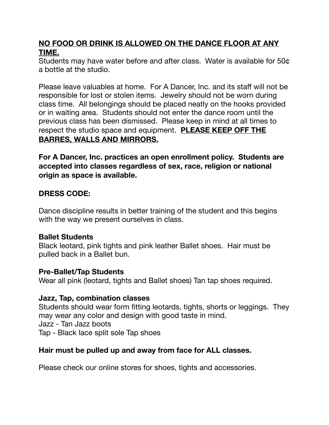## **NO FOOD OR DRINK IS ALLOWED ON THE DANCE FLOOR AT ANY TIME.**

Students may have water before and after class. Water is available for 50¢ a bottle at the studio.

Please leave valuables at home. For A Dancer, Inc. and its staff will not be responsible for lost or stolen items. Jewelry should not be worn during class time. All belongings should be placed neatly on the hooks provided or in waiting area. Students should not enter the dance room until the previous class has been dismissed. Please keep in mind at all times to respect the studio space and equipment. **PLEASE KEEP OFF THE BARRES, WALLS AND MIRRORS.**

**For A Dancer, Inc. practices an open enrollment policy. Students are accepted into classes regardless of sex, race, religion or national origin as space is available.** 

## **DRESS CODE:**

Dance discipline results in better training of the student and this begins with the way we present ourselves in class.

## **Ballet Students**

Black leotard, pink tights and pink leather Ballet shoes. Hair must be pulled back in a Ballet bun.

## **Pre-Ballet/Tap Students**

Wear all pink (leotard, tights and Ballet shoes) Tan tap shoes required.

## **Jazz, Tap, combination classes**

Students should wear form fitting leotards, tights, shorts or leggings. They may wear any color and design with good taste in mind. Jazz - Tan Jazz boots Tap - Black lace split sole Tap shoes

## **Hair must be pulled up and away from face for ALL classes.**

Please check our online stores for shoes, tights and accessories.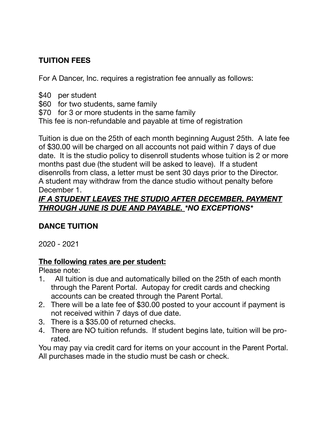## **TUITION FEES**

For A Dancer, Inc. requires a registration fee annually as follows:

- \$40 per student
- \$60 for two students, same family
- \$70 for 3 or more students in the same family

This fee is non-refundable and payable at time of registration

Tuition is due on the 25th of each month beginning August 25th. A late fee of \$30.00 will be charged on all accounts not paid within 7 days of due date. It is the studio policy to disenroll students whose tuition is 2 or more months past due (the student will be asked to leave). If a student disenrolls from class, a letter must be sent 30 days prior to the Director. A student may withdraw from the dance studio without penalty before December 1.

## *IF A STUDENT LEAVES THE STUDIO AFTER DECEMBER, PAYMENT THROUGH JUNE IS DUE AND PAYABLE. \*NO EXCEPTIONS\**

## **DANCE TUITION**

2020 - 2021

## **The following rates are per student:**

Please note:

- 1. All tuition is due and automatically billed on the 25th of each month through the Parent Portal. Autopay for credit cards and checking accounts can be created through the Parent Portal.
- 2. There will be a late fee of \$30.00 posted to your account if payment is not received within 7 days of due date.
- 3. There is a \$35.00 of returned checks.
- 4. There are NO tuition refunds. If student begins late, tuition will be prorated.

You may pay via credit card for items on your account in the Parent Portal. All purchases made in the studio must be cash or check.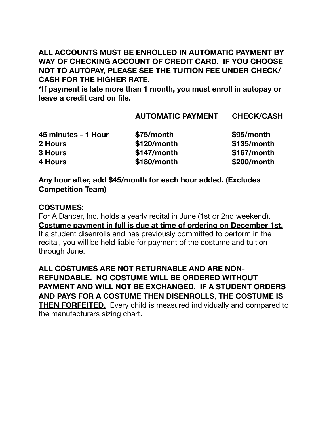## **ALL ACCOUNTS MUST BE ENROLLED IN AUTOMATIC PAYMENT BY WAY OF CHECKING ACCOUNT OF CREDIT CARD. IF YOU CHOOSE NOT TO AUTOPAY, PLEASE SEE THE TUITION FEE UNDER CHECK/ CASH FOR THE HIGHER RATE.**

**\*If payment is late more than 1 month, you must enroll in autopay or leave a credit card on file.** 

## **AUTOMATIC PAYMENT CHECK/CASH**

| 45 minutes - 1 Hour | \$75/month    | \$95/month    |
|---------------------|---------------|---------------|
| 2 Hours             | $$120/m$ onth | \$135/month   |
| <b>3 Hours</b>      | \$147/month   | $$167/m$ onth |
| 4 Hours             | \$180/month   | \$200/month   |

**Any hour after, add \$45/month for each hour added. (Excludes Competition Team)** 

## **COSTUMES:**

For A Dancer, Inc. holds a yearly recital in June (1st or 2nd weekend). **Costume payment in full is due at time of ordering on December 1st.**  If a student disenrolls and has previously committed to perform in the recital, you will be held liable for payment of the costume and tuition through June.

**ALL COSTUMES ARE NOT RETURNABLE AND ARE NON-REFUNDABLE. NO COSTUME WILL BE ORDERED WITHOUT PAYMENT AND WILL NOT BE EXCHANGED. IF A STUDENT ORDERS AND PAYS FOR A COSTUME THEN DISENROLLS, THE COSTUME IS THEN FORFEITED.** Every child is measured individually and compared to the manufacturers sizing chart.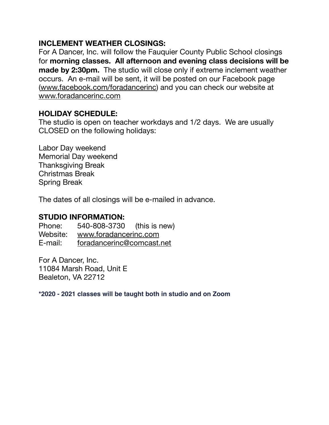## **INCLEMENT WEATHER CLOSINGS:**

For A Dancer, Inc. will follow the Fauquier County Public School closings for **morning classes. All afternoon and evening class decisions will be made by 2:30pm.** The studio will close only if extreme inclement weather occurs. An e-mail will be sent, it will be posted on our Facebook page ([www.facebook.com/foradancerinc](http://www.facebook.com/foradancerinc)) and you can check our website at [www.foradancerinc.com](http://www.foradancerinc.com)

## **HOLIDAY SCHEDULE:**

The studio is open on teacher workdays and 1/2 days. We are usually CLOSED on the following holidays:

Labor Day weekend Memorial Day weekend Thanksgiving Break Christmas Break Spring Break

The dates of all closings will be e-mailed in advance.

## **STUDIO INFORMATION:**

Phone: 540-808-3730 (this is new) Website: [www.foradancerinc.com](http://www.foradancerinc.com) E-mail: [foradancerinc@comcast.net](mailto:foradancerinc@comcast.net)

For A Dancer, Inc. 11084 Marsh Road, Unit E Bealeton, VA 22712

**\*2020 - 2021 classes will be taught both in studio and on Zoom**